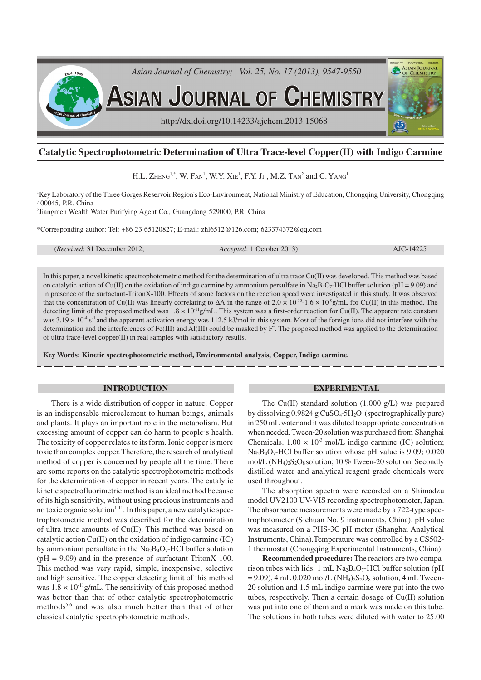

# **Catalytic Spectrophotometric Determination of Ultra Trace-level Copper(II) with Indigo Carmine**

# H.L. ZHENG<sup>1,\*</sup>, W. Fan<sup>1</sup>, W.Y. Xie<sup>1</sup>, F.Y. Ji<sup>1</sup>, M.Z. Tan<sup>2</sup> and C. Yang<sup>1</sup>

<sup>1</sup>Key Laboratory of the Three Gorges Reservoir Region's Eco-Environment, National Ministry of Education, Chongqing University, Chongqing 400045, P.R. China

2 Jiangmen Wealth Water Purifying Agent Co., Guangdong 529000, P.R. China

\*Corresponding author: Tel: +86 23 65120827; E-mail: zhl6512@126.com; 623374372@qq.com

(*Received*: 31 December 2012; *Accepted*: 1 October 2013) AJC-14225

In this paper, a novel kinetic spectrophotometric method for the determination of ultra trace Cu(II) was developed. This method was based on catalytic action of Cu(II) on the oxidation of indigo carmine by ammonium persulfate in Na<sub>2</sub>B<sub>4</sub>O<sub>7</sub>-HCl buffer solution (pH = 9.09) and in presence of the surfactant-TritonX-100. Effects of some factors on the reaction speed were investigated in this study. It was observed that the concentration of Cu(II) was linearly correlating to  $\Delta A$  in the range of 2.0 × 10<sup>-10</sup>-1.6 × 10<sup>-9</sup>g/mL for Cu(II) in this method. The detecting limit of the proposed method was  $1.8 \times 10^{-11}$ g/mL. This system was a first-order reaction for Cu(II). The apparent rate constant was  $3.19 \times 10^{-4}$  s<sup>-1</sup> and the apparent activation energy was 112.5 kJ/mol in this system. Most of the foreign ions did not interfere with the determination and the interferences of Fe(III) and Al(III) could be masked by F– . The proposed method was applied to the determination of ultra trace-level copper(II) in real samples with satisfactory results.

**Key Words: Kinetic spectrophotometric method, Environmental analysis, Copper, Indigo carmine.**

#### **INTRODUCTION**

There is a wide distribution of copper in nature. Copper is an indispensable microelement to human beings, animals and plants. It plays an important role in the metabolism. But excessing amount of copper can do harm to people s health. The toxicity of copper relates to its form. Ionic copper is more toxic than complex copper. Therefore, the research of analytical method of copper is concerned by people all the time. There are some reports on the catalytic spectrophotometric methods for the determination of copper in recent years. The catalytic kinetic spectrofluorimetric method is an ideal method because of its high sensitivity, without using precious instruments and no toxic organic solution<sup> $1-11$ </sup>. In this paper, a new catalytic spectrophotometric method was described for the determination of ultra trace amounts of Cu(II). This method was based on catalytic action Cu(II) on the oxidation of indigo carmine (IC) by ammonium persulfate in the  $Na<sub>2</sub>B<sub>4</sub>O<sub>7</sub>$ -HCl buffer solution  $(pH = 9.09)$  and in the presence of surfactant-TritonX-100. This method was very rapid, simple, inexpensive, selective and high sensitive. The copper detecting limit of this method was  $1.8 \times 10^{-11}$ g/mL. The sensitivity of this proposed method was better than that of other catalytic spectrophotometric methods<sup>5,6</sup> and was also much better than that of other classical catalytic spectrophotometric methods.

#### **EXPERIMENTAL**

The Cu(II) standard solution  $(1.000 \text{ g/L})$  was prepared by dissolving 0.9824 g CuSO4·5H2O (spectrographically pure) in 250 mL water and it was diluted to appropriate concentration when needed. Tween-20 solution was purchased from Shanghai Chemicals.  $1.00 \times 10^{-3}$  mol/L indigo carmine (IC) solution;  $Na<sub>2</sub>B<sub>4</sub>O<sub>7</sub>$ -HCl buffer solution whose pH value is 9.09; 0.020 mol/L  $(NH_4)_2S_2O_8$  solution; 10 % Tween-20 solution. Secondly distilled water and analytical reagent grade chemicals were used throughout.

The absorption spectra were recorded on a Shimadzu model UV2100 UV-VIS recording spectrophotometer, Japan. The absorbance measurements were made by a 722-type spectrophotometer (Sichuan No. 9 instruments, China). pH value was measured on a PHS-3C pH meter (Shanghai Analytical Instruments, China).Temperature was controlled by a CS502- 1 thermostat (Chongqing Experimental Instruments, China).

**Recommended procedure:** The reactors are two comparison tubes with lids. 1 mL  $Na<sub>2</sub>B<sub>4</sub>O<sub>7</sub>$ -HCl buffer solution (pH  $= 9.09$ ), 4 mL 0.020 mol/L (NH<sub>4</sub>)<sub>2</sub>S<sub>2</sub>O<sub>8</sub> solution, 4 mL Tween-20 solution and 1.5 mL indigo carmine were put into the two tubes, respectively. Then a certain dosage of Cu(II) solution was put into one of them and a mark was made on this tube. The solutions in both tubes were diluted with water to 25.00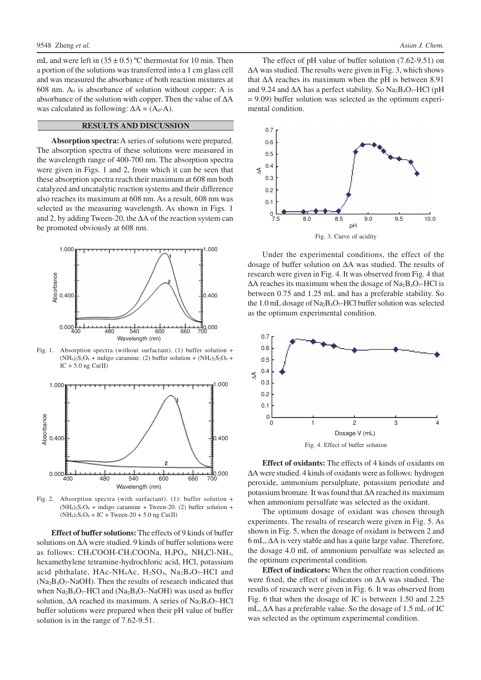mL and were left in  $(35 \pm 0.5)$  °C thermostat for 10 min. Then a portion of the solutions was transferred into a 1 cm glass cell and was measured the absorbance of both reaction mixtures at 608 nm.  $A_0$  is absorbance of solution without copper; A is absorbance of the solution with copper. Then the value of ∆A was calculated as following:  $\Delta A = (A_0 - A)$ .

## **RESULTS AND DISCUSSION**

**Absorption spectra:**A series of solutions were prepared. The absorption spectra of these solutions were measured in the wavelength range of 400-700 nm. The absorption spectra were given in Figs. 1 and 2, from which it can be seen that these absorption spectra reach their maximum at 608 nm both catalyzed and uncatalytic reaction systems and their difference also reaches its maximum at 608 nm. As a result, 608 nm was selected as the measuring wavelength. As shown in Figs. 1 and 2, by adding Tween-20, the ∆A of the reaction system can be promoted obviously at 608 nm.



Fig. 1. Absorption spectra (without surfactant). (1) buffer solution +  $(NH_4)_2S_2O_8$  + indigo caramine. (2) buffer solution +  $(NH_4)_2S_2O_8$  +  $IC + 5.0$  ng  $Cu(II)$ 



Fig. 2. Absorption spectra (with surfactant). (1): buffer solution +  $(NH<sub>4</sub>)<sub>2</sub>S<sub>2</sub>O<sub>8</sub> + *indigo* caramine + Iween-20. (2) buffer solution +$  $(NH_4)_2S_2O_8 + IC + Tween-20 + 5.0$  ng Cu(II)

**Effect of buffer solutions:** The effects of 9 kinds of buffer solutions on ∆A were studied. 9 kinds of buffer solutions were as follows:  $CH_3COOH$ -CH<sub>3</sub>COONa,  $H_3PO_4$ ,  $NH_4Cl$ -NH<sub>3</sub>, hexamethylene tetramine-hydrochloric acid, HCl, potassium acid phthalate, HAc-NH<sub>4</sub>Ac, H<sub>2</sub>SO<sub>4</sub>, Na<sub>2</sub>B<sub>4</sub>O<sub>7</sub>-HCl and  $(Na<sub>2</sub>B<sub>4</sub>O<sub>7</sub>-NaOH)$ . Then the results of research indicated that when  $Na_2B_4O_7$ -HCl and  $(Na_2B_4O_7$ -NaOH) was used as buffer solution, ΔA reached its maximum. A series of Na<sub>2</sub>B<sub>4</sub>O<sub>7</sub>-HCl buffer solutions were prepared when their pH value of buffer solution is in the range of 7.62-9.51.

The effect of pH value of buffer solution (7.62-9.51) on ∆A was studied. The results were given in Fig. 3, which shows that ∆A reaches its maximum when the pH is between 8.91 and 9.24 and  $\Delta A$  has a perfect stability. So Na<sub>2</sub>B<sub>4</sub>O<sub>7</sub>-HCl (pH = 9.09) buffer solution was selected as the optimum experimental condition.



Under the experimental conditions, the effect of the dosage of buffer solution on ∆A was studied. The results of research were given in Fig. 4. It was observed from Fig. 4 that  $\Delta A$  reaches its maximum when the dosage of Na<sub>2</sub>B<sub>4</sub>O<sub>7</sub>-HCl is between 0.75 and 1.25 mL and has a preferable stability. So the 1.0 mL dosage of  $Na<sub>2</sub>B<sub>4</sub>O<sub>7</sub>$ -HCl buffer solution was selected as the optimum experimental condition.



**Effect of oxidants:** The effects of 4 kinds of oxidants on ∆A were studied. 4 kinds of oxidants were as follows: hydrogen peroxide, ammonium persulphate, potassium periodate and potassium bromate. It was found that ∆A reached its maximum when ammonium persulfate was selected as the oxidant.

The optimum dosage of oxidant was chosen through experiments. The results of research were given in Fig. 5. As shown in Fig. 5, when the dosage of oxidant is between 2 and 6 mL, ∆A is very stable and has a quite large value. Therefore, the dosage 4.0 mL of ammonium persulfate was selected as the optimum experimental condition.

**Effect of indicators:** When the other reaction conditions were fixed, the effect of indicators on ∆A was studied. The results of research were given in Fig. 6. It was observed from Fig. 6 that when the dosage of IC is between 1.50 and 2.25 mL, ∆A has a preferable value. So the dosage of 1.5 mL of IC was selected as the optimum experimental condition.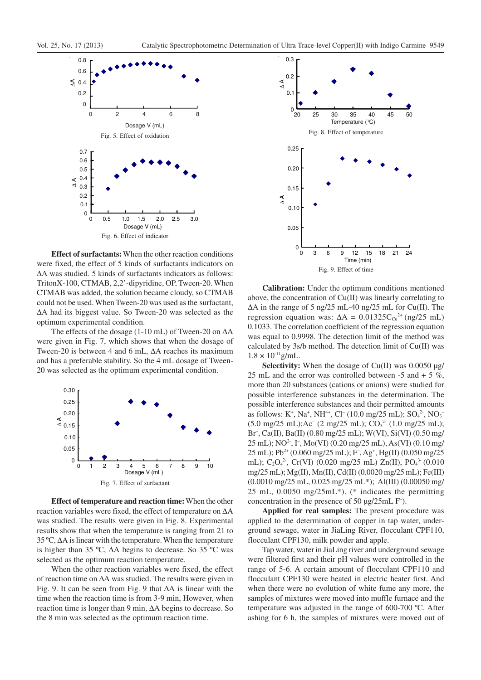

**Effect of surfactants:** When the other reaction conditions were fixed, the effect of 5 kinds of surfactants indicators on ∆A was studied. 5 kinds of surfactants indicators as follows: TritonX-100, CTMAB, 2,2'-dipyridine, OP, Tween-20. When CTMAB was added, the solution became cloudy, so CTMAB could not be used. When Tween-20 was used as the surfactant, ∆A had its biggest value. So Tween-20 was selected as the optimum experimental condition.

The effects of the dosage (1-10 mL) of Tween-20 on ∆A were given in Fig. 7, which shows that when the dosage of Tween-20 is between 4 and 6 mL, ∆A reaches its maximum and has a preferable stability. So the 4 mL dosage of Tween-20 was selected as the optimum experimental condition.



**Effect of temperature and reaction time:** When the other reaction variables were fixed, the effect of temperature on ∆A was studied. The results were given in Fig. 8. Experimental results show that when the temperature is ranging from 21 to 35 ºC, ∆A is linear with the temperature. When the temperature is higher than 35 ºC, ∆A begins to decrease. So 35 ºC was selected as the optimum reaction temperature.

When the other reaction variables were fixed, the effect of reaction time on ∆A was studied. The results were given in Fig. 9. It can be seen from Fig. 9 that ∆A is linear with the time when the reaction time is from 3-9 min, However, when reaction time is longer than 9 min, ∆A begins to decrease. So the 8 min was selected as the optimum reaction time.



**Calibration:** Under the optimum conditions mentioned above, the concentration of Cu(II) was linearly correlating to ∆A in the range of 5 ng/25 mL-40 ng/25 mL for Cu(II). The regression equation was:  $\Delta A = 0.01325 C_{\text{Cu}}^{2+}$  (ng/25 mL) 0.1033. The correlation coefficient of the regression equation was equal to 0.9998. The detection limit of the method was calculated by 3s/b method. The detection limit of Cu(II) was  $1.8 \times 10^{-11}$ g/mL.

Selectivity: When the dosage of Cu(II) was 0.0050 µg/ 25 mL and the error was controlled between  $-5$  and  $+ 5 \%$ , more than 20 substances (cations or anions) were studied for possible interference substances in the determination. The possible interference substances and their permitted amounts as follows: K<sup>+</sup>, Na<sup>+</sup>, NH<sup>4+</sup>, Cl<sup>-</sup> (10.0 mg/25 mL);  $SO_4^2$ , NO<sub>3</sub><sup>-</sup>  $(5.0 \text{ mg}/25 \text{ mL})$ ; Ac<sup>-</sup>  $(2 \text{ mg}/25 \text{ mL})$ ; CO<sub>3</sub><sup>2</sup>  $(1.0 \text{ mg}/25 \text{ mL})$ ; Br– , Ca(II), Ba(II) (0.80 mg/25 mL); W(VI), Si(VI) (0.50 mg/ 25 mL); NO<sup>2</sup>, I<sup>-</sup>, Mo(VI) (0.20 mg/25 mL), As(VI) (0.10 mg/ 25 mL); Pb<sup>2+</sup> (0.060 mg/25 mL); F<sup>-</sup>, Ag<sup>+</sup>, Hg(II) (0.050 mg/25 mL); C<sub>2</sub>O<sub>4</sub><sup>2</sup>, Cr(VI) (0.020 mg/25 mL) Zn(II), PO<sub>4</sub><sup>3</sup> (0.010 mg/25 mL); Mg(II), Mn(II), Cd(II) (0.0020 mg/25 mL); Fe(III) (0.0010 mg/25 mL, 0.025 mg/25 mL\*); Al(III) (0.00050 mg/ 25 mL, 0.0050 mg/25mL\*). (\* indicates the permitting concentration in the presence of 50 µg/25mL F<sup>-</sup>).

**Applied for real samples:** The present procedure was applied to the determination of copper in tap water, underground sewage, water in JiaLing River, flocculant CPF110, flocculant CPF130, milk powder and apple.

Tap water, water in JiaLing river and underground sewage were filtered first and their pH values were controlled in the range of 5-6. A certain amount of flocculant CPF110 and flocculant CPF130 were heated in electric heater first. And when there were no evolution of white fume any more, the samples of mixtures were moved into muffle furnace and the temperature was adjusted in the range of 600-700 ºC. After ashing for 6 h, the samples of mixtures were moved out of